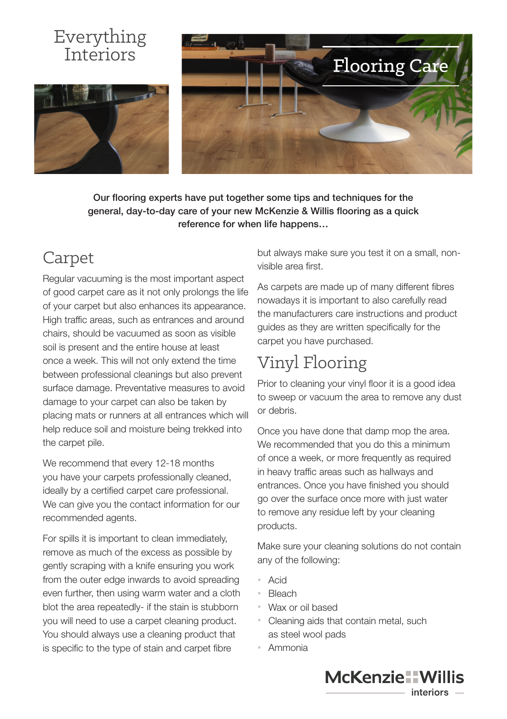#### Everything Interiors





Our flooring experts have put together some tips and techniques for the general, day-to-day care of your new McKenzie & Willis flooring as a quick reference for when life happens…

### Carpet

Regular vacuuming is the most important aspect of good carpet care as it not only prolongs the life of your carpet but also enhances its appearance. High traffic areas, such as entrances and around chairs, should be vacuumed as soon as visible soil is present and the entire house at least once a week. This will not only extend the time between professional cleanings but also prevent surface damage. Preventative measures to avoid damage to your carpet can also be taken by placing mats or runners at all entrances which will help reduce soil and moisture being trekked into the carpet pile.

We recommend that every 12-18 months you have your carpets professionally cleaned, ideally by a certified carpet care professional. We can give you the contact information for our recommended agents.

For spills it is important to clean immediately, remove as much of the excess as possible by gently scraping with a knife ensuring you work from the outer edge inwards to avoid spreading even further, then using warm water and a cloth blot the area repeatedly- if the stain is stubborn you will need to use a carpet cleaning product. You should always use a cleaning product that is specific to the type of stain and carpet fibre

but always make sure you test it on a small, nonvisible area first.

As carpets are made up of many different fibres nowadays it is important to also carefully read the manufacturers care instructions and product guides as they are written specifically for the carpet you have purchased.

## Vinyl Flooring

Prior to cleaning your vinyl floor it is a good idea to sweep or vacuum the area to remove any dust or debris.

Once you have done that damp mop the area. We recommended that you do this a minimum of once a week, or more frequently as required in heavy traffic areas such as hallways and entrances. Once you have finished you should go over the surface once more with just water to remove any residue left by your cleaning products.

Make sure your cleaning solutions do not contain any of the following:

- Acid
- Bleach
- Wax or oil based
- Cleaning aids that contain metal, such as steel wool pads
- Ammonia